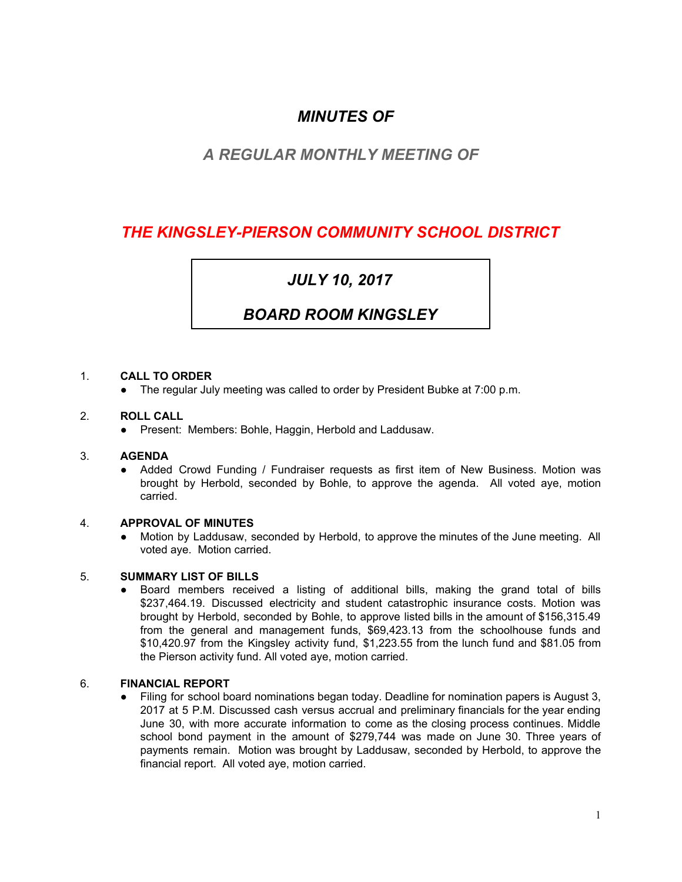### *MINUTES OF*

### *A REGULAR MONTHLY MEETING OF*

## *THE KINGSLEY-PIERSON COMMUNITY SCHOOL DISTRICT*

# *JULY 10, 2017*

### *BOARD ROOM KINGSLEY*

#### 1. **CALL TO ORDER**

● The regular July meeting was called to order by President Bubke at 7:00 p.m.

#### 2. **ROLL CALL**

● Present: Members: Bohle, Haggin, Herbold and Laddusaw.

#### 3. **AGENDA**

● Added Crowd Funding / Fundraiser requests as first item of New Business. Motion was brought by Herbold, seconded by Bohle, to approve the agenda. All voted aye, motion carried.

#### 4. **APPROVAL OF MINUTES**

● Motion by Laddusaw, seconded by Herbold, to approve the minutes of the June meeting. All voted aye. Motion carried.

#### 5. **SUMMARY LIST OF BILLS**

● Board members received a listing of additional bills, making the grand total of bills \$237,464.19. Discussed electricity and student catastrophic insurance costs. Motion was brought by Herbold, seconded by Bohle, to approve listed bills in the amount of \$156,315.49 from the general and management funds, \$69,423.13 from the schoolhouse funds and \$10,420.97 from the Kingsley activity fund, \$1,223.55 from the lunch fund and \$81.05 from the Pierson activity fund. All voted aye, motion carried.

#### 6. **FINANCIAL REPORT**

Filing for school board nominations began today. Deadline for nomination papers is August 3, 2017 at 5 P.M. Discussed cash versus accrual and preliminary financials for the year ending June 30, with more accurate information to come as the closing process continues. Middle school bond payment in the amount of \$279,744 was made on June 30. Three years of payments remain. Motion was brought by Laddusaw, seconded by Herbold, to approve the financial report. All voted aye, motion carried.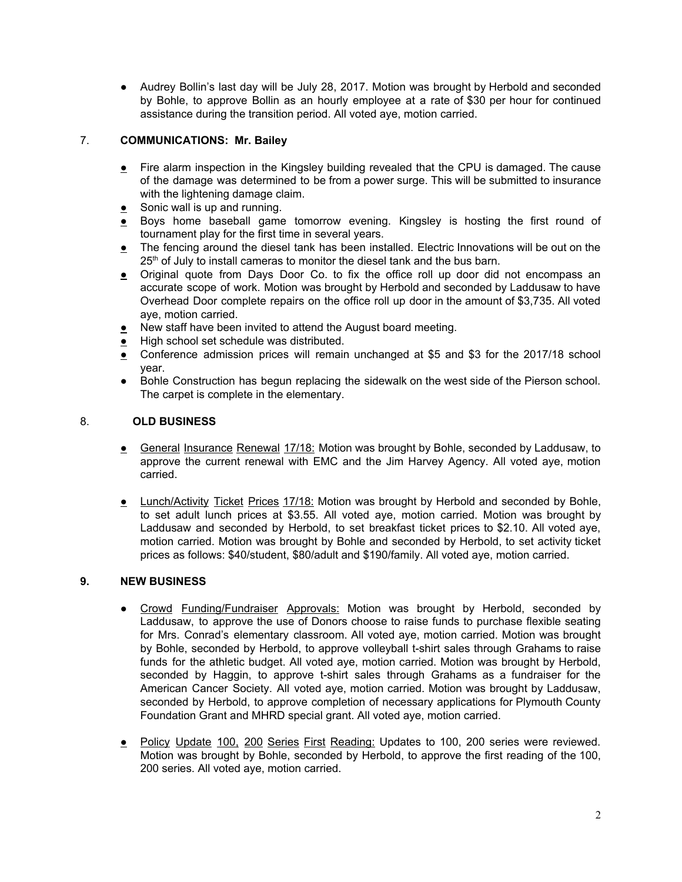● Audrey Bollin's last day will be July 28, 2017. Motion was brought by Herbold and seconded by Bohle, to approve Bollin as an hourly employee at a rate of \$30 per hour for continued assistance during the transition period. All voted aye, motion carried.

### 7. **COMMUNICATIONS: Mr. Bailey**

- Fire alarm inspection in the Kingsley building revealed that the CPU is damaged. The cause of the damage was determined to be from a power surge. This will be submitted to insurance with the lightening damage claim.
- $\bullet$  Sonic wall is up and running.
- Boys home baseball game tomorrow evening. Kingsley is hosting the first round of tournament play for the first time in several years.
- The fencing around the diesel tank has been installed. Electric Innovations will be out on the 25<sup>th</sup> of July to install cameras to monitor the diesel tank and the bus barn.
- Original quote from Days Door Co. to fix the office roll up door did not encompass an accurate scope of work. Motion was brought by Herbold and seconded by Laddusaw to have Overhead Door complete repairs on the office roll up door in the amount of \$3,735. All voted aye, motion carried.
- New staff have been invited to attend the August board meeting.
- High school set schedule was distributed.
- Conference admission prices will remain unchanged at \$5 and \$3 for the 2017/18 school year.
- Bohle Construction has begun replacing the sidewalk on the west side of the Pierson school. The carpet is complete in the elementary.

#### 8. **OLD BUSINESS**

- General Insurance Renewal 17/18: Motion was brought by Bohle, seconded by Laddusaw, to approve the current renewal with EMC and the Jim Harvey Agency. All voted aye, motion carried.
- **Lunch/Activity Ticket Prices 17/18:** Motion was brought by Herbold and seconded by Bohle, to set adult lunch prices at \$3.55. All voted aye, motion carried. Motion was brought by Laddusaw and seconded by Herbold, to set breakfast ticket prices to \$2.10. All voted aye, motion carried. Motion was brought by Bohle and seconded by Herbold, to set activity ticket prices as follows: \$40/student, \$80/adult and \$190/family. All voted aye, motion carried.

#### **9. NEW BUSINESS**

- Crowd Funding/Fundraiser Approvals: Motion was brought by Herbold, seconded by Laddusaw, to approve the use of Donors choose to raise funds to purchase flexible seating for Mrs. Conrad's elementary classroom. All voted aye, motion carried. Motion was brought by Bohle, seconded by Herbold, to approve volleyball t-shirt sales through Grahams to raise funds for the athletic budget. All voted aye, motion carried. Motion was brought by Herbold, seconded by Haggin, to approve t-shirt sales through Grahams as a fundraiser for the American Cancer Society. All voted aye, motion carried. Motion was brought by Laddusaw, seconded by Herbold, to approve completion of necessary applications for Plymouth County Foundation Grant and MHRD special grant. All voted aye, motion carried.
- Policy Update 100, 200 Series First Reading: Updates to 100, 200 series were reviewed. Motion was brought by Bohle, seconded by Herbold, to approve the first reading of the 100, 200 series. All voted aye, motion carried.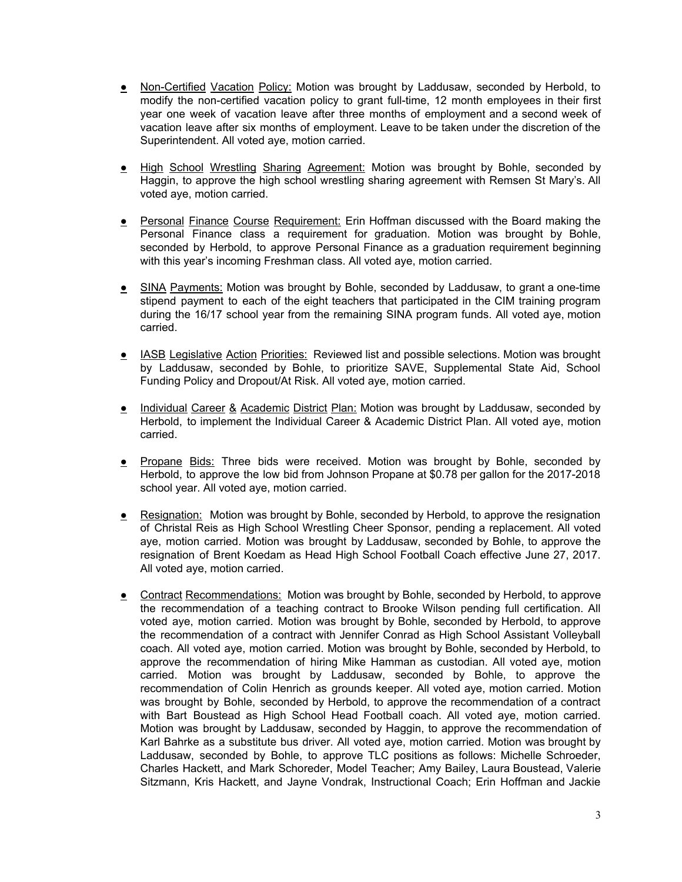- Non-Certified Vacation Policy: Motion was brought by Laddusaw, seconded by Herbold, to modify the non-certified vacation policy to grant full-time, 12 month employees in their first year one week of vacation leave after three months of employment and a second week of vacation leave after six months of employment. Leave to be taken under the discretion of the Superintendent. All voted aye, motion carried.
- **•** High School Wrestling Sharing Agreement: Motion was brought by Bohle, seconded by Haggin, to approve the high school wrestling sharing agreement with Remsen St Mary's. All voted aye, motion carried.
- **•** Personal Finance Course Requirement: Erin Hoffman discussed with the Board making the Personal Finance class a requirement for graduation. Motion was brought by Bohle, seconded by Herbold, to approve Personal Finance as a graduation requirement beginning with this year's incoming Freshman class. All voted aye, motion carried.
- SINA Payments: Motion was brought by Bohle, seconded by Laddusaw, to grant a one-time stipend payment to each of the eight teachers that participated in the CIM training program during the 16/17 school year from the remaining SINA program funds. All voted aye, motion carried.
- IASB Legislative Action Priorities: Reviewed list and possible selections. Motion was brought by Laddusaw, seconded by Bohle, to prioritize SAVE, Supplemental State Aid, School Funding Policy and Dropout/At Risk. All voted aye, motion carried.
- Individual Career & Academic District Plan: Motion was brought by Laddusaw, seconded by Herbold, to implement the Individual Career & Academic District Plan. All voted aye, motion carried.
- Propane Bids: Three bids were received. Motion was brought by Bohle, seconded by Herbold, to approve the low bid from Johnson Propane at \$0.78 per gallon for the 2017-2018 school year. All voted aye, motion carried.
- Resignation: Motion was brought by Bohle, seconded by Herbold, to approve the resignation of Christal Reis as High School Wrestling Cheer Sponsor, pending a replacement. All voted aye, motion carried. Motion was brought by Laddusaw, seconded by Bohle, to approve the resignation of Brent Koedam as Head High School Football Coach effective June 27, 2017. All voted aye, motion carried.
- Contract Recommendations: Motion was brought by Bohle, seconded by Herbold, to approve the recommendation of a teaching contract to Brooke Wilson pending full certification. All voted aye, motion carried. Motion was brought by Bohle, seconded by Herbold, to approve the recommendation of a contract with Jennifer Conrad as High School Assistant Volleyball coach. All voted aye, motion carried. Motion was brought by Bohle, seconded by Herbold, to approve the recommendation of hiring Mike Hamman as custodian. All voted aye, motion carried. Motion was brought by Laddusaw, seconded by Bohle, to approve the recommendation of Colin Henrich as grounds keeper. All voted aye, motion carried. Motion was brought by Bohle, seconded by Herbold, to approve the recommendation of a contract with Bart Boustead as High School Head Football coach. All voted aye, motion carried. Motion was brought by Laddusaw, seconded by Haggin, to approve the recommendation of Karl Bahrke as a substitute bus driver. All voted aye, motion carried. Motion was brought by Laddusaw, seconded by Bohle, to approve TLC positions as follows: Michelle Schroeder, Charles Hackett, and Mark Schoreder, Model Teacher; Amy Bailey, Laura Boustead, Valerie Sitzmann, Kris Hackett, and Jayne Vondrak, Instructional Coach; Erin Hoffman and Jackie